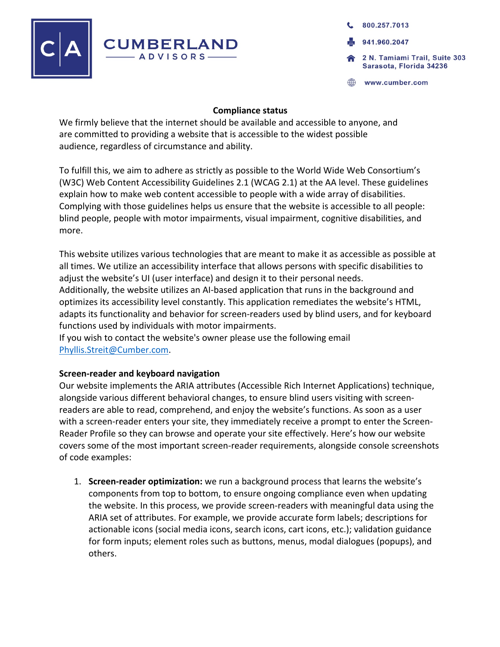

800.257.7013 941.960.2047 2 N. Tamiami Trail, Suite 303 Sarasota, Florida 34236

www.cumber.com

#### **Compliance status**

We firmly believe that the internet should be available and accessible to anyone, and are committed to providing a website that is accessible to the widest possible audience, regardless of circumstance and ability.

To fulfill this, we aim to adhere as strictly as possible to the World Wide Web Consortium's (W3C) Web Content Accessibility Guidelines 2.1 (WCAG 2.1) at the AA level. These guidelines explain how to make web content accessible to people with a wide array of disabilities. Complying with those guidelines helps us ensure that the website is accessible to all people: blind people, people with motor impairments, visual impairment, cognitive disabilities, and more.

This website utilizes various technologies that are meant to make it as accessible as possible at all times. We utilize an accessibility interface that allows persons with specific disabilities to adjust the website's UI (user interface) and design it to their personal needs. Additionally, the website utilizes an AI-based application that runs in the background and optimizes its accessibility level constantly. This application remediates the website's HTML, adapts its functionality and behavior for screen-readers used by blind users, and for keyboard

functions used by individuals with motor impairments.

If you wish to contact the website's owner please use the following email Phyllis.Streit@Cumber.com.

### **Screen-reader and keyboard navigation**

Our website implements the ARIA attributes (Accessible Rich Internet Applications) technique, alongside various different behavioral changes, to ensure blind users visiting with screenreaders are able to read, comprehend, and enjoy the website's functions. As soon as a user with a screen-reader enters your site, they immediately receive a prompt to enter the Screen-Reader Profile so they can browse and operate your site effectively. Here's how our website covers some of the most important screen-reader requirements, alongside console screenshots of code examples:

1. **Screen-reader optimization:** we run a background process that learns the website's components from top to bottom, to ensure ongoing compliance even when updating the website. In this process, we provide screen-readers with meaningful data using the ARIA set of attributes. For example, we provide accurate form labels; descriptions for actionable icons (social media icons, search icons, cart icons, etc.); validation guidance for form inputs; element roles such as buttons, menus, modal dialogues (popups), and others.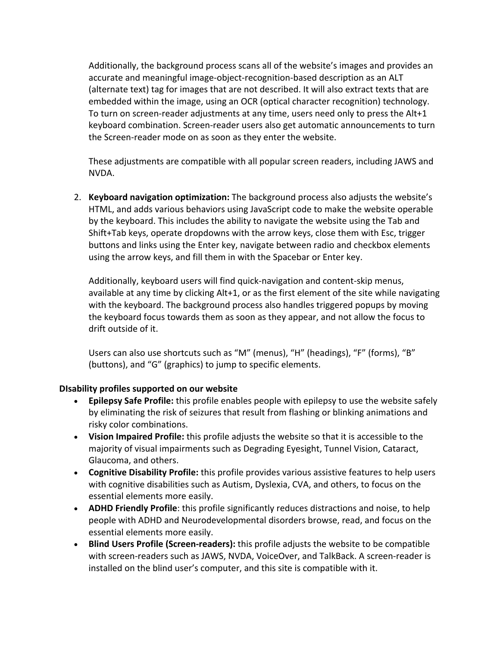Additionally, the background process scans all of the website's images and provides an accurate and meaningful image-object-recognition-based description as an ALT (alternate text) tag for images that are not described. It will also extract texts that are embedded within the image, using an OCR (optical character recognition) technology. To turn on screen-reader adjustments at any time, users need only to press the Alt+1 keyboard combination. Screen-reader users also get automatic announcements to turn the Screen-reader mode on as soon as they enter the website.

These adjustments are compatible with all popular screen readers, including JAWS and NVDA.

2. **Keyboard navigation optimization:** The background process also adjusts the website's HTML, and adds various behaviors using JavaScript code to make the website operable by the keyboard. This includes the ability to navigate the website using the Tab and Shift+Tab keys, operate dropdowns with the arrow keys, close them with Esc, trigger buttons and links using the Enter key, navigate between radio and checkbox elements using the arrow keys, and fill them in with the Spacebar or Enter key.

Additionally, keyboard users will find quick-navigation and content-skip menus, available at any time by clicking Alt+1, or as the first element of the site while navigating with the keyboard. The background process also handles triggered popups by moving the keyboard focus towards them as soon as they appear, and not allow the focus to drift outside of it.

Users can also use shortcuts such as "M" (menus), "H" (headings), "F" (forms), "B" (buttons), and "G" (graphics) to jump to specific elements.

# **DIsability profiles supported on our website**

- **Epilepsy Safe Profile:** this profile enables people with epilepsy to use the website safely by eliminating the risk of seizures that result from flashing or blinking animations and risky color combinations.
- **Vision Impaired Profile:** this profile adjusts the website so that it is accessible to the majority of visual impairments such as Degrading Eyesight, Tunnel Vision, Cataract, Glaucoma, and others.
- **Cognitive Disability Profile:** this profile provides various assistive features to help users with cognitive disabilities such as Autism, Dyslexia, CVA, and others, to focus on the essential elements more easily.
- **ADHD Friendly Profile**: this profile significantly reduces distractions and noise, to help people with ADHD and Neurodevelopmental disorders browse, read, and focus on the essential elements more easily.
- **Blind Users Profile (Screen-readers):** this profile adjusts the website to be compatible with screen-readers such as JAWS, NVDA, VoiceOver, and TalkBack. A screen-reader is installed on the blind user's computer, and this site is compatible with it.